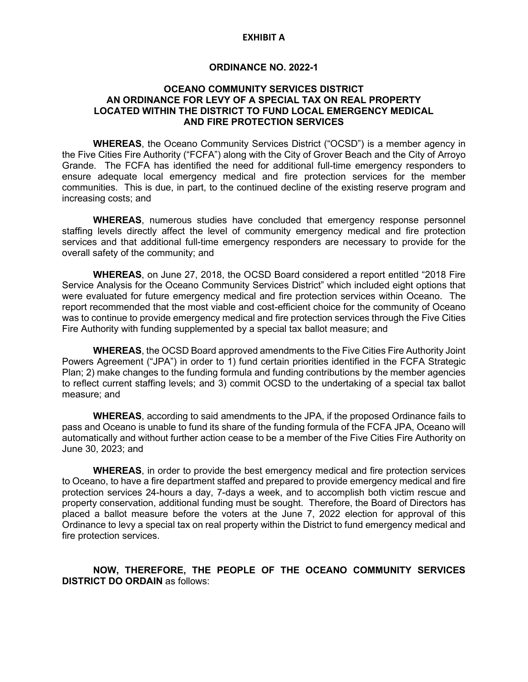### **EXHIBIT A**

### **ORDINANCE NO. 2022-1**

### **OCEANO COMMUNITY SERVICES DISTRICT AN ORDINANCE FOR LEVY OF A SPECIAL TAX ON REAL PROPERTY LOCATED WITHIN THE DISTRICT TO FUND LOCAL EMERGENCY MEDICAL AND FIRE PROTECTION SERVICES**

**WHEREAS**, the Oceano Community Services District ("OCSD") is a member agency in the Five Cities Fire Authority ("FCFA") along with the City of Grover Beach and the City of Arroyo Grande. The FCFA has identified the need for additional full-time emergency responders to ensure adequate local emergency medical and fire protection services for the member communities. This is due, in part, to the continued decline of the existing reserve program and increasing costs; and

**WHEREAS**, numerous studies have concluded that emergency response personnel staffing levels directly affect the level of community emergency medical and fire protection services and that additional full-time emergency responders are necessary to provide for the overall safety of the community; and

**WHEREAS**, on June 27, 2018, the OCSD Board considered a report entitled "2018 Fire Service Analysis for the Oceano Community Services District" which included eight options that were evaluated for future emergency medical and fire protection services within Oceano. The report recommended that the most viable and cost-efficient choice for the community of Oceano was to continue to provide emergency medical and fire protection services through the Five Cities Fire Authority with funding supplemented by a special tax ballot measure; and

**WHEREAS**, the OCSD Board approved amendments to the Five Cities Fire Authority Joint Powers Agreement ("JPA") in order to 1) fund certain priorities identified in the FCFA Strategic Plan; 2) make changes to the funding formula and funding contributions by the member agencies to reflect current staffing levels; and 3) commit OCSD to the undertaking of a special tax ballot measure; and

**WHEREAS**, according to said amendments to the JPA, if the proposed Ordinance fails to pass and Oceano is unable to fund its share of the funding formula of the FCFA JPA, Oceano will automatically and without further action cease to be a member of the Five Cities Fire Authority on June 30, 2023; and

**WHEREAS**, in order to provide the best emergency medical and fire protection services to Oceano, to have a fire department staffed and prepared to provide emergency medical and fire protection services 24-hours a day, 7-days a week, and to accomplish both victim rescue and property conservation, additional funding must be sought. Therefore, the Board of Directors has placed a ballot measure before the voters at the June 7, 2022 election for approval of this Ordinance to levy a special tax on real property within the District to fund emergency medical and fire protection services.

**NOW, THEREFORE, THE PEOPLE OF THE OCEANO COMMUNITY SERVICES DISTRICT DO ORDAIN** as follows: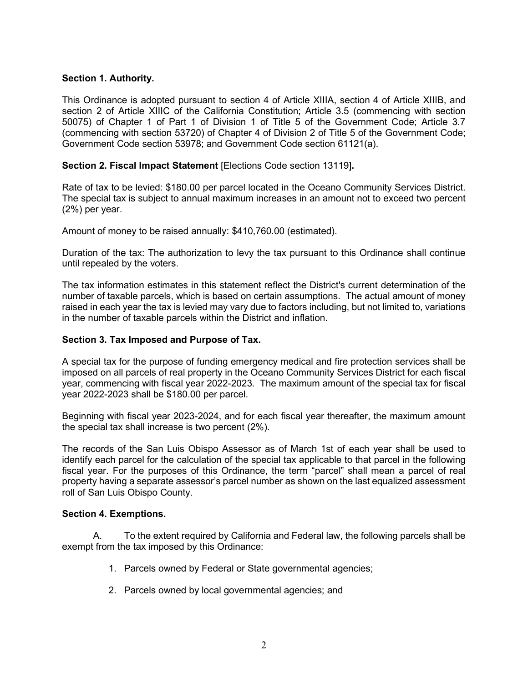# **Section 1. Authority.**

This Ordinance is adopted pursuant to section 4 of Article XIIIA, section 4 of Article XIIIB, and section 2 of Article XIIIC of the California Constitution; Article 3.5 (commencing with section 50075) of Chapter 1 of Part 1 of Division 1 of Title 5 of the Government Code; Article 3.7 (commencing with section 53720) of Chapter 4 of Division 2 of Title 5 of the Government Code; Government Code section 53978; and Government Code section 61121(a).

# **Section 2. Fiscal Impact Statement** [Elections Code section 13119]**.**

Rate of tax to be levied: \$180.00 per parcel located in the Oceano Community Services District. The special tax is subject to annual maximum increases in an amount not to exceed two percent (2%) per year.

Amount of money to be raised annually: \$410,760.00 (estimated).

Duration of the tax: The authorization to levy the tax pursuant to this Ordinance shall continue until repealed by the voters.

The tax information estimates in this statement reflect the District's current determination of the number of taxable parcels, which is based on certain assumptions. The actual amount of money raised in each year the tax is levied may vary due to factors including, but not limited to, variations in the number of taxable parcels within the District and inflation.

# **Section 3. Tax Imposed and Purpose of Tax.**

A special tax for the purpose of funding emergency medical and fire protection services shall be imposed on all parcels of real property in the Oceano Community Services District for each fiscal year, commencing with fiscal year 2022-2023. The maximum amount of the special tax for fiscal year 2022-2023 shall be \$180.00 per parcel.

Beginning with fiscal year 2023-2024, and for each fiscal year thereafter, the maximum amount the special tax shall increase is two percent (2%).

The records of the San Luis Obispo Assessor as of March 1st of each year shall be used to identify each parcel for the calculation of the special tax applicable to that parcel in the following fiscal year. For the purposes of this Ordinance, the term "parcel" shall mean a parcel of real property having a separate assessor's parcel number as shown on the last equalized assessment roll of San Luis Obispo County.

# **Section 4. Exemptions.**

A. To the extent required by California and Federal law, the following parcels shall be exempt from the tax imposed by this Ordinance:

- 1. Parcels owned by Federal or State governmental agencies;
- 2. Parcels owned by local governmental agencies; and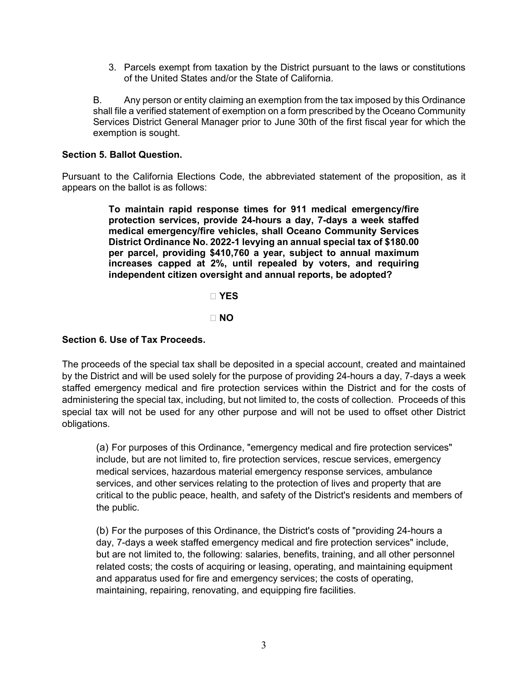3. Parcels exempt from taxation by the District pursuant to the laws or constitutions of the United States and/or the State of California.

B. Any person or entity claiming an exemption from the tax imposed by this Ordinance shall file a verified statement of exemption on a form prescribed by the Oceano Community Services District General Manager prior to June 30th of the first fiscal year for which the exemption is sought.

# **Section 5. Ballot Question.**

Pursuant to the California Elections Code, the abbreviated statement of the proposition, as it appears on the ballot is as follows:

> **To maintain rapid response times for 911 medical emergency/fire protection services, provide 24-hours a day, 7-days a week staffed medical emergency/fire vehicles, shall Oceano Community Services District Ordinance No. 2022-1 levying an annual special tax of \$180.00 per parcel, providing \$410,760 a year, subject to annual maximum increases capped at 2%, until repealed by voters, and requiring independent citizen oversight and annual reports, be adopted?**

> > **� YES**

**� NO**

### **Section 6. Use of Tax Proceeds.**

The proceeds of the special tax shall be deposited in a special account, created and maintained by the District and will be used solely for the purpose of providing 24-hours a day, 7-days a week staffed emergency medical and fire protection services within the District and for the costs of administering the special tax, including, but not limited to, the costs of collection. Proceeds of this special tax will not be used for any other purpose and will not be used to offset other District obligations.

(a) For purposes of this Ordinance, "emergency medical and fire protection services" include, but are not limited to, fire protection services, rescue services, emergency medical services, hazardous material emergency response services, ambulance services, and other services relating to the protection of lives and property that are critical to the public peace, health, and safety of the District's residents and members of the public.

(b) For the purposes of this Ordinance, the District's costs of "providing 24-hours a day, 7-days a week staffed emergency medical and fire protection services" include, but are not limited to, the following: salaries, benefits, training, and all other personnel related costs; the costs of acquiring or leasing, operating, and maintaining equipment and apparatus used for fire and emergency services; the costs of operating, maintaining, repairing, renovating, and equipping fire facilities.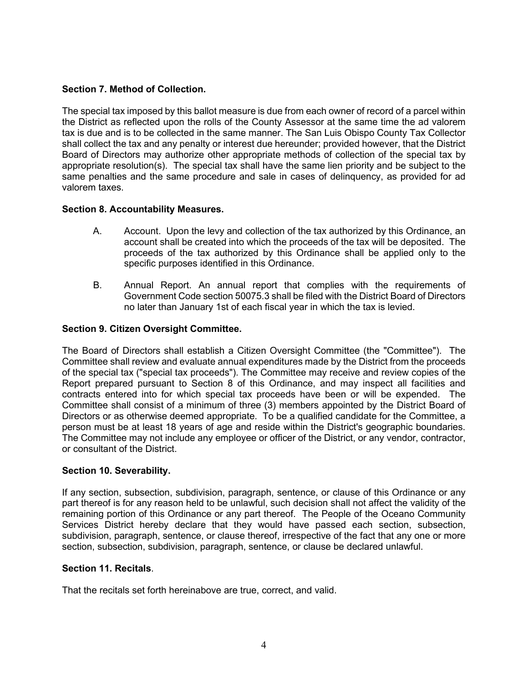# **Section 7. Method of Collection.**

The special tax imposed by this ballot measure is due from each owner of record of a parcel within the District as reflected upon the rolls of the County Assessor at the same time the ad valorem tax is due and is to be collected in the same manner. The San Luis Obispo County Tax Collector shall collect the tax and any penalty or interest due hereunder; provided however, that the District Board of Directors may authorize other appropriate methods of collection of the special tax by appropriate resolution(s). The special tax shall have the same lien priority and be subject to the same penalties and the same procedure and sale in cases of delinquency, as provided for ad valorem taxes.

# **Section 8. Accountability Measures.**

- A. Account. Upon the levy and collection of the tax authorized by this Ordinance, an account shall be created into which the proceeds of the tax will be deposited. The proceeds of the tax authorized by this Ordinance shall be applied only to the specific purposes identified in this Ordinance.
- B. Annual Report. An annual report that complies with the requirements of Government Code section 50075.3 shall be filed with the District Board of Directors no later than January 1st of each fiscal year in which the tax is levied.

# **Section 9. Citizen Oversight Committee.**

The Board of Directors shall establish a Citizen Oversight Committee (the "Committee"). The Committee shall review and evaluate annual expenditures made by the District from the proceeds of the special tax ("special tax proceeds"). The Committee may receive and review copies of the Report prepared pursuant to Section 8 of this Ordinance, and may inspect all facilities and contracts entered into for which special tax proceeds have been or will be expended. The Committee shall consist of a minimum of three (3) members appointed by the District Board of Directors or as otherwise deemed appropriate. To be a qualified candidate for the Committee, a person must be at least 18 years of age and reside within the District's geographic boundaries. The Committee may not include any employee or officer of the District, or any vendor, contractor, or consultant of the District.

# **Section 10. Severability.**

If any section, subsection, subdivision, paragraph, sentence, or clause of this Ordinance or any part thereof is for any reason held to be unlawful, such decision shall not affect the validity of the remaining portion of this Ordinance or any part thereof. The People of the Oceano Community Services District hereby declare that they would have passed each section, subsection, subdivision, paragraph, sentence, or clause thereof, irrespective of the fact that any one or more section, subsection, subdivision, paragraph, sentence, or clause be declared unlawful.

# **Section 11. Recitals**.

That the recitals set forth hereinabove are true, correct, and valid.